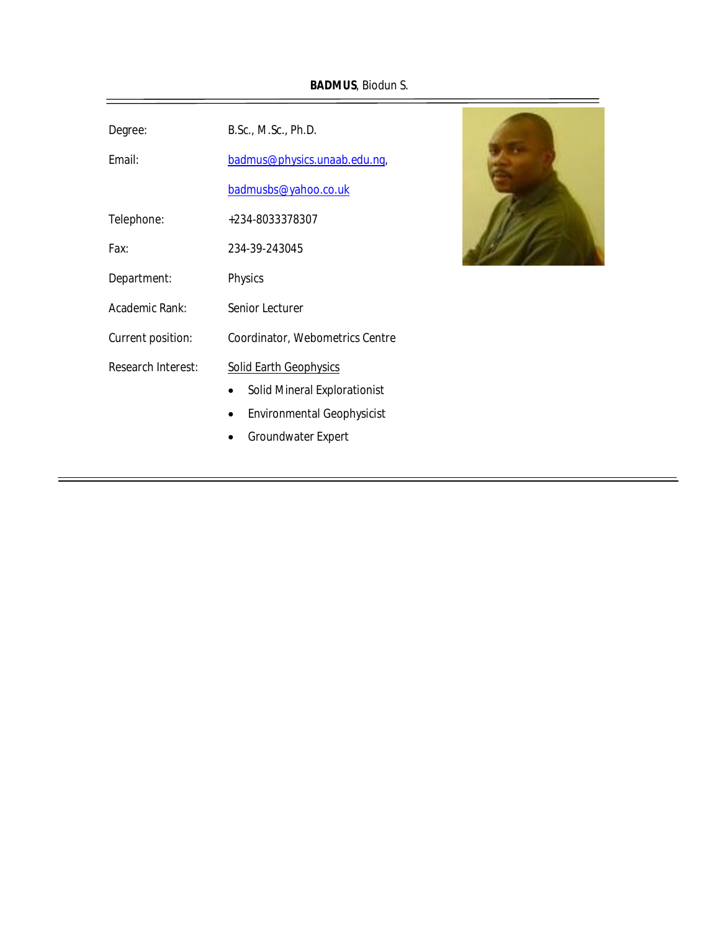**BADMUS**, Biodun S.

| Degree:                   | B.Sc., M.Sc., Ph.D.                                                                                                             |
|---------------------------|---------------------------------------------------------------------------------------------------------------------------------|
| Email:                    | badmus@physics.unaab.edu.ng,                                                                                                    |
|                           | badmusbs@yahoo.co.uk                                                                                                            |
| Telephone:                | +234-8033378307                                                                                                                 |
| Fax:                      | 234-39-243045                                                                                                                   |
| Department:               | Physics                                                                                                                         |
| Academic Rank:            | Senior Lecturer                                                                                                                 |
| Current position:         | Coordinator, Webometrics Centre                                                                                                 |
| <b>Research Interest:</b> | <b>Solid Earth Geophysics</b><br><b>Solid Mineral Explorationist</b><br><b>Environmental Geophysicist</b><br>Groundwater Expert |

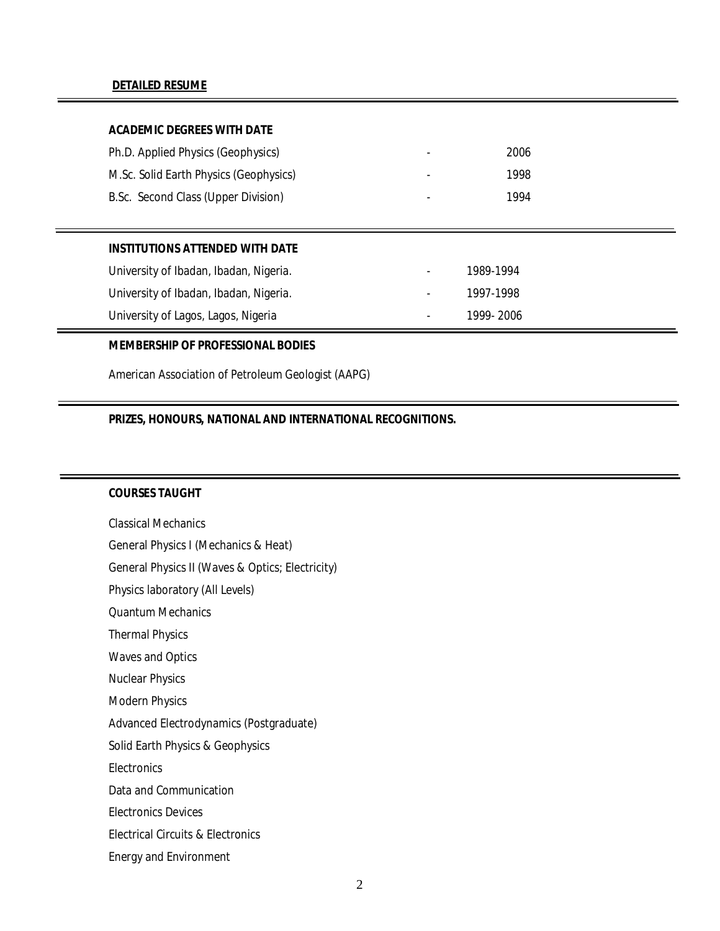### **DETAILED RESUME**

## **ACADEMIC DEGREES WITH DATE**

| Ph.D. Applied Physics (Geophysics)     | ۰.                       | 2006 |
|----------------------------------------|--------------------------|------|
| M.Sc. Solid Earth Physics (Geophysics) | $\overline{\phantom{a}}$ | 1998 |
| B.Sc. Second Class (Upper Division)    | $\overline{\phantom{a}}$ | 1994 |

#### **INSTITUTIONS ATTENDED WITH DATE**

| University of Ibadan, Ibadan, Nigeria. | $\sim$     | 1989-1994 |
|----------------------------------------|------------|-----------|
| University of Ibadan, Ibadan, Nigeria. | $\sim 100$ | 1997-1998 |
| University of Lagos, Lagos, Nigeria    | $\sim 100$ | 1999-2006 |

#### **MEMBERSHIP OF PROFESSIONAL BODIES**

American Association of Petroleum Geologist (AAPG)

# **PRIZES, HONOURS, NATIONAL AND INTERNATIONAL RECOGNITIONS.**

## **COURSES TAUGHT**

Classical Mechanics General Physics I (Mechanics & Heat) General Physics II (Waves & Optics; Electricity) Physics laboratory (All Levels) Quantum Mechanics Thermal Physics Waves and Optics Nuclear Physics Modern Physics Advanced Electrodynamics (Postgraduate) Solid Earth Physics & Geophysics **Electronics** Data and Communication Electronics Devices Electrical Circuits & Electronics Energy and Environment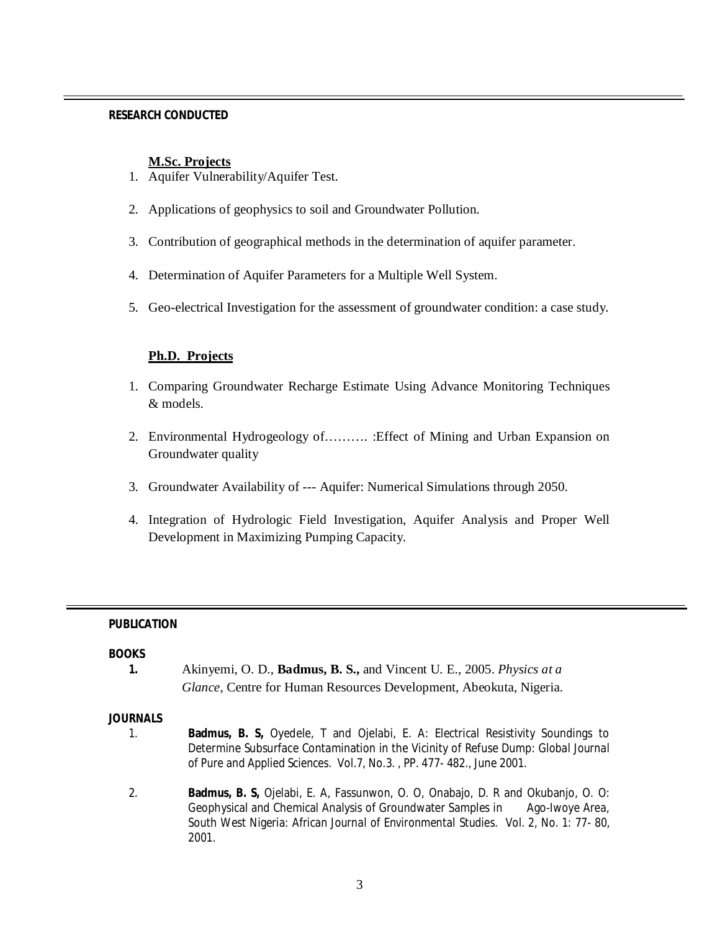### **RESEARCH CONDUCTED**

### **M.Sc. Projects**

- 1. Aquifer Vulnerability/Aquifer Test.
- 2. Applications of geophysics to soil and Groundwater Pollution.
- 3. Contribution of geographical methods in the determination of aquifer parameter.
- 4. Determination of Aquifer Parameters for a Multiple Well System.
- 5. Geo-electrical Investigation for the assessment of groundwater condition: a case study.

# **Ph.D. Projects**

- 1. Comparing Groundwater Recharge Estimate Using Advance Monitoring Techniques & models.
- 2. Environmental Hydrogeology of………. :Effect of Mining and Urban Expansion on Groundwater quality
- 3. Groundwater Availability of --- Aquifer: Numerical Simulations through 2050.
- 4. Integration of Hydrologic Field Investigation, Aquifer Analysis and Proper Well Development in Maximizing Pumping Capacity.

## **PUBLICATION**

## **BOOKS**

**1.** Akinyemi, O. D., **Badmus, B. S.,** and Vincent U. E., 2005. *Physics at a Glance,* Centre for Human Resources Development, Abeokuta, Nigeria.

#### **JOURNALS**

- 1. **Badmus, B. S,** Oyedele, T and Ojelabi, E. A: Electrical Resistivity Soundings to Determine Subsurface Contamination in the Vicinity of Refuse Dump: *Global Journal of Pure and Applied Sciences.* Vol.7, No.3. , PP. 477- 482., June 2001.
- 2. **Badmus, B. S,** Ojelabi, E. A, Fassunwon, O. O, Onabajo, D. R and Okubanjo, O. O: Geophysical and Chemical Analysis of Groundwater Samples in Ago-Iwoye Area, South West Nigeria: *African Journal of Environmental Studies.* Vol. 2, No. 1: 77- 80, 2001.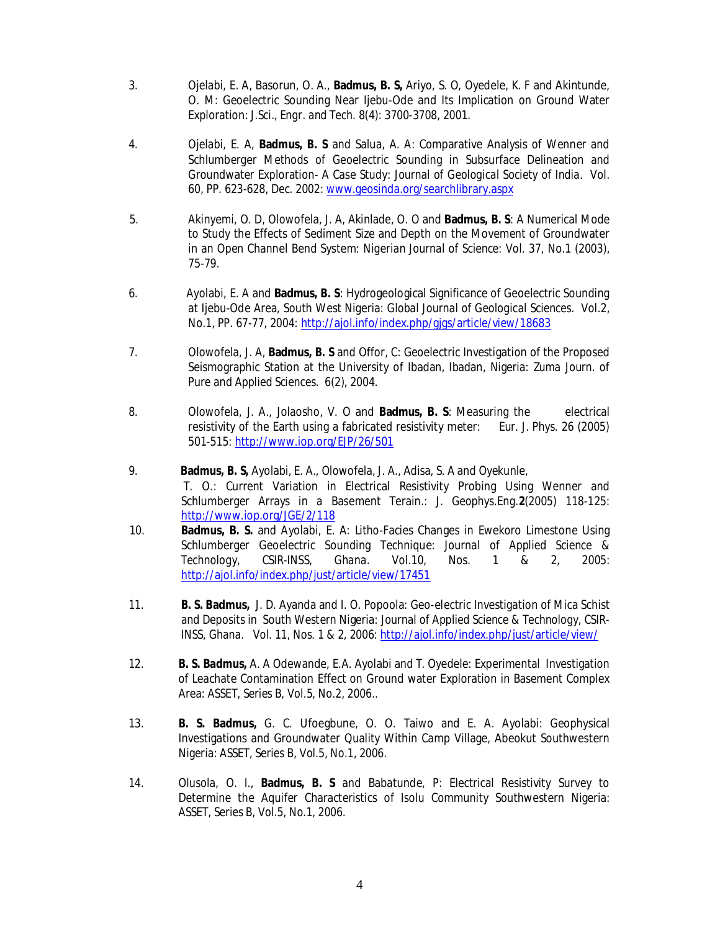- 3. Ojelabi, E. A, Basorun, O. A., **Badmus, B. S,** Ariyo, S. O, Oyedele, K. F and Akintunde, O. M: Geoelectric Sounding Near Ijebu-Ode and Its Implication on Ground Water Exploration: *J.Sci., Engr. and Tech.* 8(4): 3700-3708, 2001.
- 4. Ojelabi, E. A, **Badmus, B. S** and Salua, A. A: Comparative Analysis of Wenner and Schlumberger Methods of Geoelectric Sounding in Subsurface Delineation and Groundwater Exploration- A Case Study: *Journal of Geological Society of India.* Vol. 60, PP. 623-628, Dec. 2002: www.geosinda.org/searchlibrary.aspx
- 5. Akinyemi, O. D, Olowofela, J. A, Akinlade, O. O and **Badmus, B. S**: A Numerical Mode to Study the Effects of Sediment Size and Depth on the Movement of Groundwater in an Open Channel Bend System: *Nigerian Journal of Science*: Vol. 37, No.1 (2003), 75-79.
- 6. Ayolabi, E. A and **Badmus, B. S**: Hydrogeological Significance of Geoelectric Sounding at Ijebu-Ode Area, South West Nigeria: *Global Journal of Geological Sciences.* Vol.2, No.1, PP. 67-77, 2004: http://ajol.info/index.php/gjgs/article/view/18683
- 7. Olowofela, J. A, **Badmus, B. S** and Offor, C: Geoelectric Investigation of the Proposed Seismographic Station at the University of Ibadan, Ibadan, Nigeria: *Zuma Journ. of Pure and Applied Sciences*. 6(2), 2004.
- 8. Olowofela, J. A., Jolaosho, V. O and **Badmus, B. S**: Measuring the electrical resistivity of the Earth using a fabricated resistivity meter: *Eur. J. Phys*. 26 (2005) 501-515: http://www.iop.org/EJP/26/501
- 9. **Badmus, B. S,** Ayolabi, E. A., Olowofela, J. A., Adisa, S. A and Oyekunle, T. O.: Current Variation in Electrical Resistivity Probing Using Wenner and Schlumberger Arrays in a Basement Terain.: *J. Geophys.Eng.***2**(2005) 118-125: http://www.iop.org/JGE/2/118
- 10. **Badmus, B. S.** and Ayolabi, E. A: Litho-Facies Changes in Ewekoro Limestone Using Schlumberger Geoelectric Sounding Technique: *Journal of Applied Science & Technology, CSIR-INSS, Ghana.* Vol.10, Nos. 1 & 2, 2005: http://ajol.info/index.php/just/article/view/17451
- 11. **B. S. Badmus,** J. D. Ayanda and I. O. Popoola: Geo-electric Investigation of Mica Schist and Deposits in South Western Nigeria: *Journal of Applied Science & Technology, CSIR-INSS, Ghana.* Vol. 11, Nos. 1 & 2, 2006: http://ajol.info/index.php/just/article/view/
- 12. **B. S. Badmus,** A. A Odewande, E.A. Ayolabi and T. Oyedele: Experimental Investigation of Leachate Contamination Effect on Ground water Exploration in Basement Complex Area: *ASSET, Series B, Vol.5, No.2, 2006..*
- 13. **B. S. Badmus,** G. C. Ufoegbune, O. O. Taiwo and E. A. Ayolabi: Geophysical Investigations and Groundwater Quality Within Camp Village, Abeokut Southwestern Nigeria: *ASSET, Series B, Vol.5, No.1, 2006.*
- 14. Olusola, O. I., **Badmus, B. S** and Babatunde, P: Electrical Resistivity Survey to Determine the Aquifer Characteristics of Isolu Community Southwestern Nigeria: *ASSET, Series B, Vol.5, No.1, 2006*.